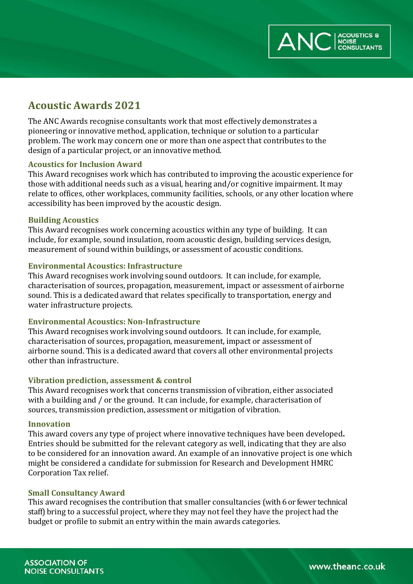

## **Acoustic Awards 2021**

The ANC Awards recognise consultants work that most effectively demonstrates a pioneering or innovative method, application, technique or solution to a particular problem. The work may concern one or more than one aspect that contributes to the design of a particular project, or an innovative method.

### **Acoustics for Inclusion Award**

This Award recognises work which has contributed to improving the acoustic experience for those with additional needs such as a visual, hearing and/or cognitive impairment. It may relate to offices, other workplaces, community facilities, schools, or any other location where accessibility has been improved by the acoustic design.

### **Building Acoustics**

This Award recognises work concerning acoustics within any type of building. It can include, for example, sound insulation, room acoustic design, building services design, measurement of sound within buildings, or assessment of acoustic conditions.

### **Environmental Acoustics: Infrastructure**

This Award recognises work involving sound outdoors. It can include, for example, characterisation of sources, propagation, measurement, impact or assessment of airborne sound. This is a dedicated award that relates specifically to transportation, energy and water infrastructure projects.

#### **Environmental Acoustics: Non-Infrastructure**

This Award recognises work involving sound outdoors. It can include, for example, characterisation of sources, propagation, measurement, impact or assessment of airborne sound. This is a dedicated award that covers all other environmental projects other than infrastructure.

### **Vibration prediction, assessment & control**

This Award recognises work that concerns transmission of vibration, either associated with a building and / or the ground. It can include, for example, characterisation of sources, transmission prediction, assessment or mitigation of vibration.

#### **Innovation**

This award covers any type of project where innovative techniques have been developed**.**  Entries should be submitted for the relevant category as well, indicating that they are also to be considered for an innovation award. An example of an innovative project is one which might be considered a candidate for submission for Research and Development HMRC Corporation Tax relief.

#### **Small Consultancy Award**

This award recognises the contribution that smaller consultancies (with 6 or fewer technical staff) bring to a successful project, where they may not feel they have the project had the budget or profile to submit an entry within the main awards categories.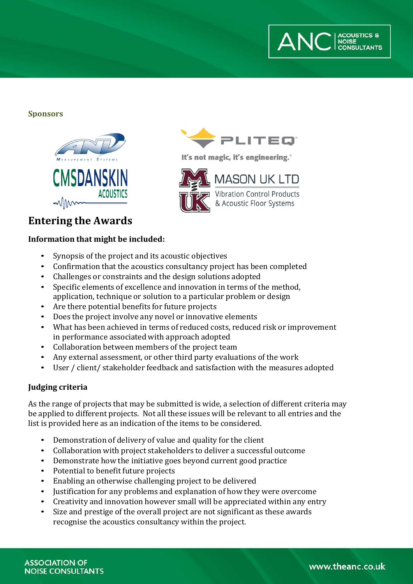

**Sponsors**





It's not magic, it's engineering.<sup>®</sup>



## **Entering the Awards**

## **Information that might be included:**

- Synopsis of the project and its acoustic objectives
- Confirmation that the acoustics consultancy project has been completed<br>• Challenges or constraints and the design solutions adopted
- Challenges or constraints and the design solutions adopted<br>• Specific elements of excellence and innovation in terms of t
- Specific elements of excellence and innovation in terms of the method, application, technique or solution to a particular problem or design
- Are there potential benefits for future projects<br>• Does the project involve any novel or innovative
- Does the project involve any novel or innovative elements
- What has been achieved in terms of reduced costs, reduced risk or improvement in performance associated with approach adopted
- Collaboration between members of the project team
- Any external assessment, or other third party evaluations of the work
- User / client/ stakeholder feedback and satisfaction with the measures adopted

## **Judging criteria**

As the range of projects that may be submitted is wide, a selection of different criteria may be applied to different projects. Not all these issues will be relevant to all entries and the list is provided here as an indication of the items to be considered.

- Demonstration of delivery of value and quality for the client<br>• Collaboration with project stakeholders to deliver a successf
- Collaboration with project stakeholders to deliver a successful outcome
- Demonstrate how the initiative goes beyond current good practice
- Potential to benefit future projects<br>• Enabling an otherwise challenging
- Enabling an otherwise challenging project to be delivered
- Justification for any problems and explanation of how they were overcome<br>• Creativity and innovation however small will be appreciated within any ent
- Creativity and innovation however small will be appreciated within any entry<br>• Size and prestige of the overall project are not significant as these awards
- Size and prestige of the overall project are not significant as these awards recognise the acoustics consultancy within the project.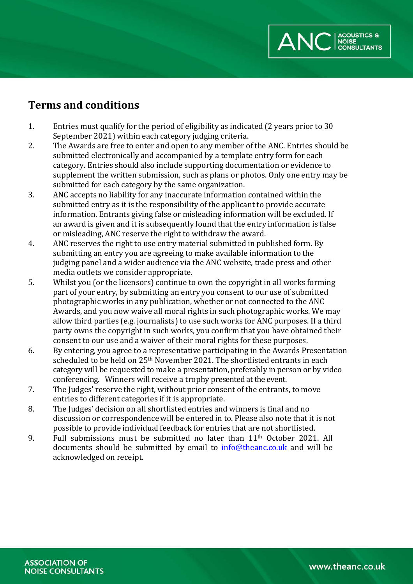

## **Terms and conditions**

- 1. Entries must qualify for the period of eligibility as indicated (2 years prior to 30 September 2021) within each category judging criteria.
- 2. The Awards are free to enter and open to any member of the ANC. Entries should be submitted electronically and accompanied by a template entry form for each category. Entries should also include supporting documentation or evidence to supplement the written submission, such as plans or photos. Only one entry may be submitted for each category by the same organization.
- 3. ANC accepts no liability for any inaccurate information contained within the submitted entry as it is the responsibility of the applicant to provide accurate information. Entrants giving false or misleading information will be excluded. If an award is given and it is subsequently found that the entry information is false or misleading, ANC reserve the right to withdraw the award.
- 4. ANC reserves the right to use entry material submitted in published form. By submitting an entry you are agreeing to make available information to the judging panel and a wider audience via the ANC website, trade press and other media outlets we consider appropriate.
- 5. Whilst you (or the licensors) continue to own the copyright in all works forming part of your entry, by submitting an entry you consent to our use of submitted photographic works in any publication, whether or not connected to the ANC Awards, and you now waive all moral rights in such photographic works. We may allow third parties (e.g. journalists) to use such works for ANC purposes. If a third party owns the copyright in such works, you confirm that you have obtained their consent to our use and a waiver of their moral rights for these purposes.
- 6. By entering, you agree to a representative participating in the Awards Presentation scheduled to be held on 25th November 2021. The shortlisted entrants in each category will be requested to make a presentation, preferably in person or by video conferencing. Winners will receive a trophy presented at the event.
- 7. The Judges' reserve the right, without prior consent of the entrants, to move entries to different categories if it is appropriate.
- 8. The Judges' decision on all shortlisted entries and winners is final and no discussion or correspondence will be entered in to. Please also note that it is not possible to provide individual feedback for entries that are not shortlisted.
- 9. Full submissions must be submitted no later than  $11<sup>th</sup>$  October 2021. All documents should be submitted by email to [info@theanc.co.uk](mailto:info@theanc.co.uk) and will be acknowledged on receipt.